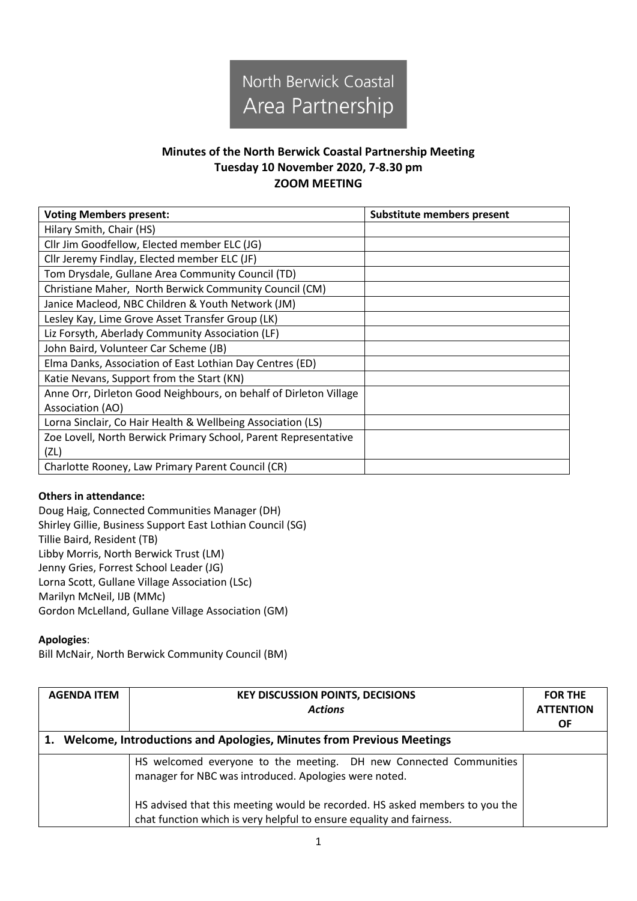

# **Minutes of the North Berwick Coastal Partnership Meeting Tuesday 10 November 2020, 7-8.30 pm ZOOM MEETING**

| <b>Voting Members present:</b>                                    | <b>Substitute members present</b> |
|-------------------------------------------------------------------|-----------------------------------|
| Hilary Smith, Chair (HS)                                          |                                   |
| Cllr Jim Goodfellow, Elected member ELC (JG)                      |                                   |
| Cllr Jeremy Findlay, Elected member ELC (JF)                      |                                   |
| Tom Drysdale, Gullane Area Community Council (TD)                 |                                   |
| Christiane Maher, North Berwick Community Council (CM)            |                                   |
| Janice Macleod, NBC Children & Youth Network (JM)                 |                                   |
| Lesley Kay, Lime Grove Asset Transfer Group (LK)                  |                                   |
| Liz Forsyth, Aberlady Community Association (LF)                  |                                   |
| John Baird, Volunteer Car Scheme (JB)                             |                                   |
| Elma Danks, Association of East Lothian Day Centres (ED)          |                                   |
| Katie Nevans, Support from the Start (KN)                         |                                   |
| Anne Orr, Dirleton Good Neighbours, on behalf of Dirleton Village |                                   |
| Association (AO)                                                  |                                   |
| Lorna Sinclair, Co Hair Health & Wellbeing Association (LS)       |                                   |
| Zoe Lovell, North Berwick Primary School, Parent Representative   |                                   |
| (ZL)                                                              |                                   |
| Charlotte Rooney, Law Primary Parent Council (CR)                 |                                   |

## **Others in attendance:**

Doug Haig, Connected Communities Manager (DH) Shirley Gillie, Business Support East Lothian Council (SG) Tillie Baird, Resident (TB) Libby Morris, North Berwick Trust (LM) Jenny Gries, Forrest School Leader (JG) Lorna Scott, Gullane Village Association (LSc) Marilyn McNeil, IJB (MMc) Gordon McLelland, Gullane Village Association (GM)

### **Apologies**:

Bill McNair, North Berwick Community Council (BM)

| <b>AGENDA ITEM</b>                                                      | <b>KEY DISCUSSION POINTS, DECISIONS</b><br><b>Actions</b>                                                                                           | <b>FOR THE</b><br><b>ATTENTION</b><br><b>OF</b> |
|-------------------------------------------------------------------------|-----------------------------------------------------------------------------------------------------------------------------------------------------|-------------------------------------------------|
| 1. Welcome, Introductions and Apologies, Minutes from Previous Meetings |                                                                                                                                                     |                                                 |
|                                                                         | HS welcomed everyone to the meeting. DH new Connected Communities<br>manager for NBC was introduced. Apologies were noted.                          |                                                 |
|                                                                         | HS advised that this meeting would be recorded. HS asked members to you the<br>chat function which is very helpful to ensure equality and fairness. |                                                 |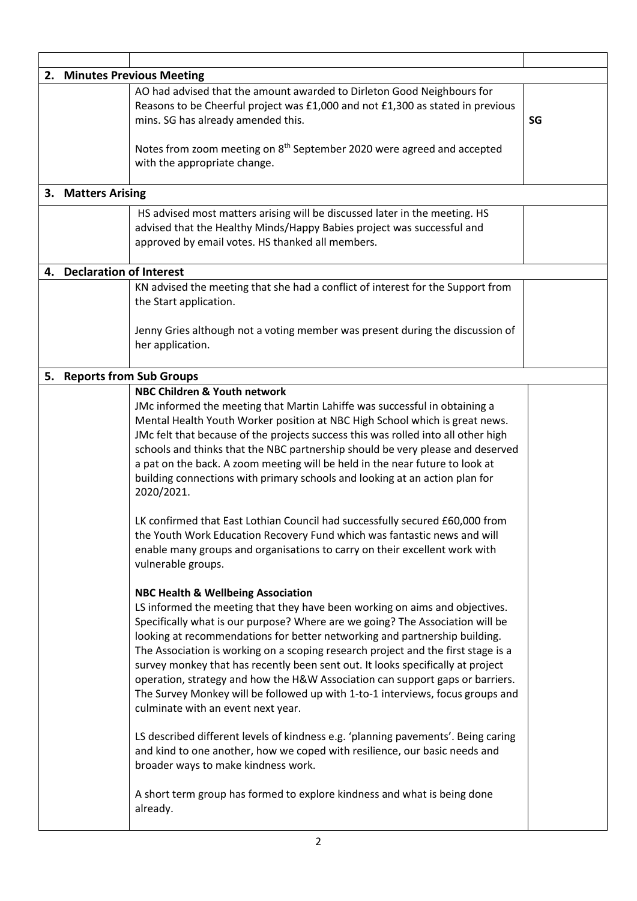|    |                            | 2. Minutes Previous Meeting                                                                                                                                                                              |    |
|----|----------------------------|----------------------------------------------------------------------------------------------------------------------------------------------------------------------------------------------------------|----|
|    |                            | AO had advised that the amount awarded to Dirleton Good Neighbours for<br>Reasons to be Cheerful project was £1,000 and not £1,300 as stated in previous<br>mins. SG has already amended this.           | SG |
|    |                            | Notes from zoom meeting on 8 <sup>th</sup> September 2020 were agreed and accepted<br>with the appropriate change.                                                                                       |    |
|    | 3. Matters Arising         |                                                                                                                                                                                                          |    |
|    |                            | HS advised most matters arising will be discussed later in the meeting. HS<br>advised that the Healthy Minds/Happy Babies project was successful and<br>approved by email votes. HS thanked all members. |    |
|    | 4. Declaration of Interest |                                                                                                                                                                                                          |    |
|    |                            | KN advised the meeting that she had a conflict of interest for the Support from<br>the Start application.                                                                                                |    |
|    |                            | Jenny Gries although not a voting member was present during the discussion of<br>her application.                                                                                                        |    |
| 5. |                            | <b>Reports from Sub Groups</b>                                                                                                                                                                           |    |
|    |                            | NBC Children & Youth network                                                                                                                                                                             |    |
|    |                            | JMc informed the meeting that Martin Lahiffe was successful in obtaining a                                                                                                                               |    |
|    |                            | Mental Health Youth Worker position at NBC High School which is great news.                                                                                                                              |    |
|    |                            | JMc felt that because of the projects success this was rolled into all other high                                                                                                                        |    |
|    |                            | schools and thinks that the NBC partnership should be very please and deserved<br>a pat on the back. A zoom meeting will be held in the near future to look at                                           |    |
|    |                            | building connections with primary schools and looking at an action plan for                                                                                                                              |    |
|    |                            | 2020/2021.                                                                                                                                                                                               |    |
|    |                            | LK confirmed that East Lothian Council had successfully secured £60,000 from                                                                                                                             |    |
|    |                            | the Youth Work Education Recovery Fund which was fantastic news and will                                                                                                                                 |    |
|    |                            | enable many groups and organisations to carry on their excellent work with<br>vulnerable groups.                                                                                                         |    |
|    |                            | <b>NBC Health &amp; Wellbeing Association</b>                                                                                                                                                            |    |
|    |                            | LS informed the meeting that they have been working on aims and objectives.                                                                                                                              |    |
|    |                            | Specifically what is our purpose? Where are we going? The Association will be                                                                                                                            |    |
|    |                            | looking at recommendations for better networking and partnership building.                                                                                                                               |    |
|    |                            | The Association is working on a scoping research project and the first stage is a                                                                                                                        |    |
|    |                            | survey monkey that has recently been sent out. It looks specifically at project<br>operation, strategy and how the H&W Association can support gaps or barriers.                                         |    |
|    |                            | The Survey Monkey will be followed up with 1-to-1 interviews, focus groups and                                                                                                                           |    |
|    |                            | culminate with an event next year.                                                                                                                                                                       |    |
|    |                            | LS described different levels of kindness e.g. 'planning pavements'. Being caring<br>and kind to one another, how we coped with resilience, our basic needs and                                          |    |
|    |                            | broader ways to make kindness work.                                                                                                                                                                      |    |
|    |                            | A short term group has formed to explore kindness and what is being done<br>already.                                                                                                                     |    |
|    |                            |                                                                                                                                                                                                          |    |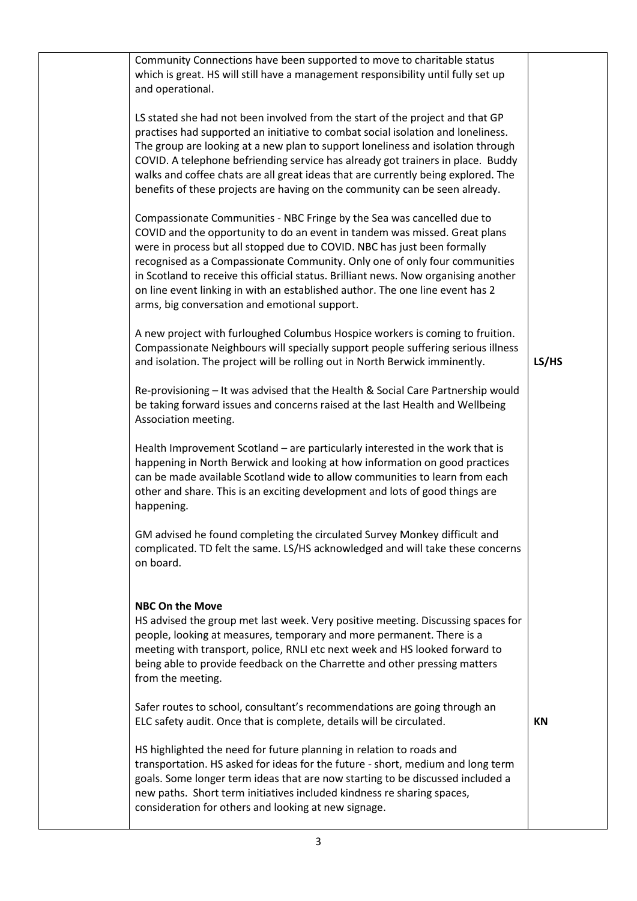| Community Connections have been supported to move to charitable status<br>which is great. HS will still have a management responsibility until fully set up<br>and operational.                                                                                                                                                                                                                                                                                                                                                         |           |
|-----------------------------------------------------------------------------------------------------------------------------------------------------------------------------------------------------------------------------------------------------------------------------------------------------------------------------------------------------------------------------------------------------------------------------------------------------------------------------------------------------------------------------------------|-----------|
| LS stated she had not been involved from the start of the project and that GP<br>practises had supported an initiative to combat social isolation and loneliness.<br>The group are looking at a new plan to support loneliness and isolation through<br>COVID. A telephone befriending service has already got trainers in place. Buddy<br>walks and coffee chats are all great ideas that are currently being explored. The<br>benefits of these projects are having on the community can be seen already.                             |           |
| Compassionate Communities - NBC Fringe by the Sea was cancelled due to<br>COVID and the opportunity to do an event in tandem was missed. Great plans<br>were in process but all stopped due to COVID. NBC has just been formally<br>recognised as a Compassionate Community. Only one of only four communities<br>in Scotland to receive this official status. Brilliant news. Now organising another<br>on line event linking in with an established author. The one line event has 2<br>arms, big conversation and emotional support. |           |
| A new project with furloughed Columbus Hospice workers is coming to fruition.<br>Compassionate Neighbours will specially support people suffering serious illness<br>and isolation. The project will be rolling out in North Berwick imminently.                                                                                                                                                                                                                                                                                        | LS/HS     |
| Re-provisioning - It was advised that the Health & Social Care Partnership would<br>be taking forward issues and concerns raised at the last Health and Wellbeing<br>Association meeting.                                                                                                                                                                                                                                                                                                                                               |           |
| Health Improvement Scotland - are particularly interested in the work that is<br>happening in North Berwick and looking at how information on good practices<br>can be made available Scotland wide to allow communities to learn from each<br>other and share. This is an exciting development and lots of good things are<br>happening.                                                                                                                                                                                               |           |
| GM advised he found completing the circulated Survey Monkey difficult and<br>complicated. TD felt the same. LS/HS acknowledged and will take these concerns<br>on board.                                                                                                                                                                                                                                                                                                                                                                |           |
| <b>NBC On the Move</b><br>HS advised the group met last week. Very positive meeting. Discussing spaces for<br>people, looking at measures, temporary and more permanent. There is a<br>meeting with transport, police, RNLI etc next week and HS looked forward to<br>being able to provide feedback on the Charrette and other pressing matters<br>from the meeting.                                                                                                                                                                   |           |
| Safer routes to school, consultant's recommendations are going through an<br>ELC safety audit. Once that is complete, details will be circulated.                                                                                                                                                                                                                                                                                                                                                                                       | <b>KN</b> |
| HS highlighted the need for future planning in relation to roads and<br>transportation. HS asked for ideas for the future - short, medium and long term<br>goals. Some longer term ideas that are now starting to be discussed included a<br>new paths. Short term initiatives included kindness re sharing spaces,<br>consideration for others and looking at new signage.                                                                                                                                                             |           |
|                                                                                                                                                                                                                                                                                                                                                                                                                                                                                                                                         |           |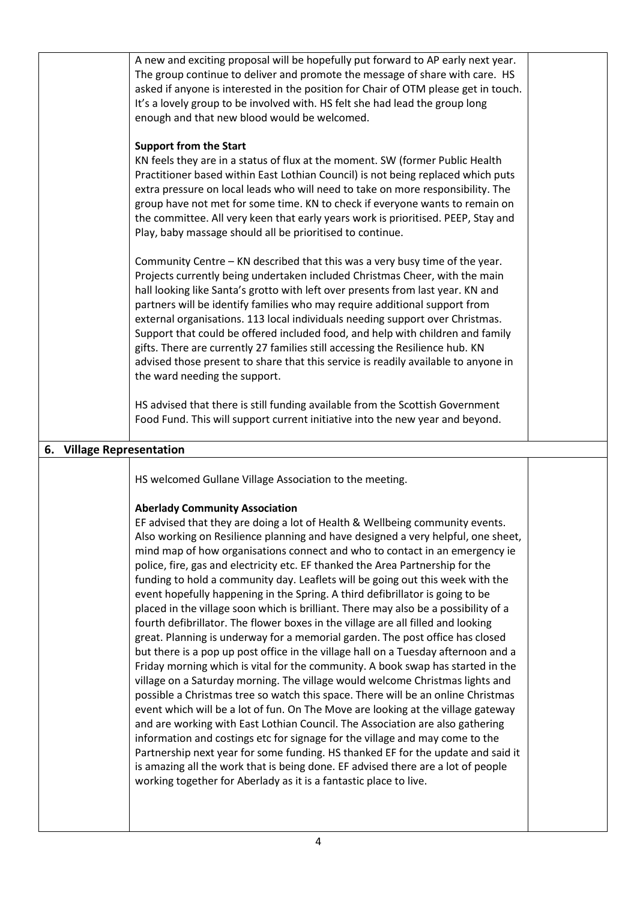| A new and exciting proposal will be hopefully put forward to AP early next year.<br>The group continue to deliver and promote the message of share with care. HS    |
|---------------------------------------------------------------------------------------------------------------------------------------------------------------------|
|                                                                                                                                                                     |
| asked if anyone is interested in the position for Chair of OTM please get in touch.                                                                                 |
|                                                                                                                                                                     |
|                                                                                                                                                                     |
|                                                                                                                                                                     |
| KN feels they are in a status of flux at the moment. SW (former Public Health                                                                                       |
| Practitioner based within East Lothian Council) is not being replaced which puts                                                                                    |
| extra pressure on local leads who will need to take on more responsibility. The                                                                                     |
| group have not met for some time. KN to check if everyone wants to remain on                                                                                        |
| the committee. All very keen that early years work is prioritised. PEEP, Stay and                                                                                   |
|                                                                                                                                                                     |
| Community Centre - KN described that this was a very busy time of the year.                                                                                         |
| Projects currently being undertaken included Christmas Cheer, with the main                                                                                         |
| hall looking like Santa's grotto with left over presents from last year. KN and                                                                                     |
| external organisations. 113 local individuals needing support over Christmas.                                                                                       |
| Support that could be offered included food, and help with children and family                                                                                      |
|                                                                                                                                                                     |
| advised those present to share that this service is readily available to anyone in                                                                                  |
|                                                                                                                                                                     |
| HS advised that there is still funding available from the Scottish Government                                                                                       |
| Food Fund. This will support current initiative into the new year and beyond.                                                                                       |
|                                                                                                                                                                     |
|                                                                                                                                                                     |
|                                                                                                                                                                     |
|                                                                                                                                                                     |
|                                                                                                                                                                     |
|                                                                                                                                                                     |
| EF advised that they are doing a lot of Health & Wellbeing community events.                                                                                        |
| Also working on Resilience planning and have designed a very helpful, one sheet,                                                                                    |
| mind map of how organisations connect and who to contact in an emergency ie                                                                                         |
| funding to hold a community day. Leaflets will be going out this week with the                                                                                      |
|                                                                                                                                                                     |
| placed in the village soon which is brilliant. There may also be a possibility of a                                                                                 |
|                                                                                                                                                                     |
| great. Planning is underway for a memorial garden. The post office has closed<br>but there is a pop up post office in the village hall on a Tuesday afternoon and a |
| Friday morning which is vital for the community. A book swap has started in the                                                                                     |
| village on a Saturday morning. The village would welcome Christmas lights and                                                                                       |
| possible a Christmas tree so watch this space. There will be an online Christmas                                                                                    |
| event which will be a lot of fun. On The Move are looking at the village gateway                                                                                    |
| and are working with East Lothian Council. The Association are also gathering<br>information and costings etc for signage for the village and may come to the       |
| Partnership next year for some funding. HS thanked EF for the update and said it                                                                                    |
| is amazing all the work that is being done. EF advised there are a lot of people                                                                                    |
|                                                                                                                                                                     |
|                                                                                                                                                                     |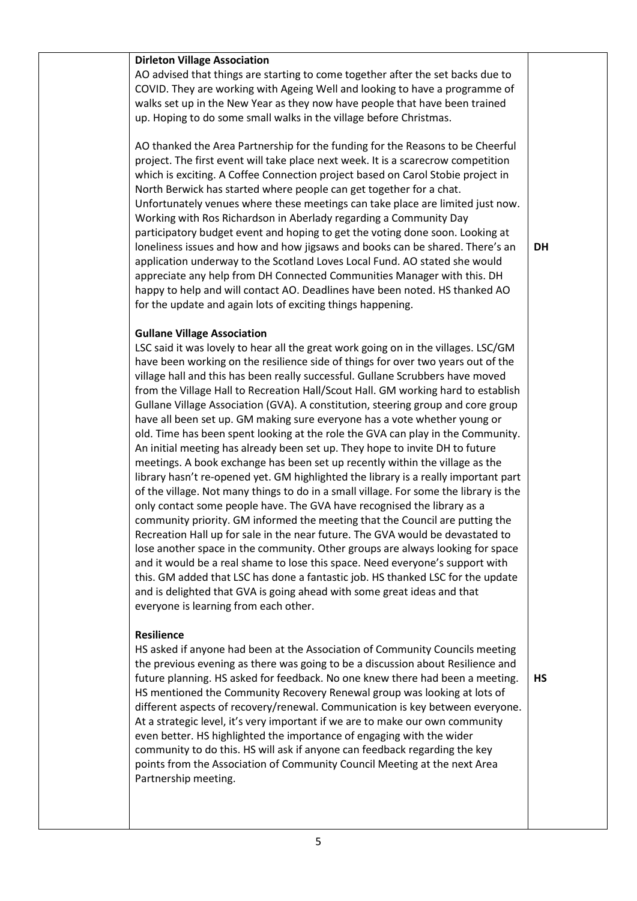### **Dirleton Village Association**

AO advised that things are starting to come together after the set backs due to COVID. They are working with Ageing Well and looking to have a programme of walks set up in the New Year as they now have people that have been trained up. Hoping to do some small walks in the village before Christmas.

AO thanked the Area Partnership for the funding for the Reasons to be Cheerful project. The first event will take place next week. It is a scarecrow competition which is exciting. A Coffee Connection project based on Carol Stobie project in North Berwick has started where people can get together for a chat. Unfortunately venues where these meetings can take place are limited just now. Working with Ros Richardson in Aberlady regarding a Community Day participatory budget event and hoping to get the voting done soon. Looking at loneliness issues and how and how jigsaws and books can be shared. There's an application underway to the Scotland Loves Local Fund. AO stated she would appreciate any help from DH Connected Communities Manager with this. DH happy to help and will contact AO. Deadlines have been noted. HS thanked AO for the update and again lots of exciting things happening.

# **Gullane Village Association**

LSC said it was lovely to hear all the great work going on in the villages. LSC/GM have been working on the resilience side of things for over two years out of the village hall and this has been really successful. Gullane Scrubbers have moved from the Village Hall to Recreation Hall/Scout Hall. GM working hard to establish Gullane Village Association (GVA). A constitution, steering group and core group have all been set up. GM making sure everyone has a vote whether young or old. Time has been spent looking at the role the GVA can play in the Community. An initial meeting has already been set up. They hope to invite DH to future meetings. A book exchange has been set up recently within the village as the library hasn't re-opened yet. GM highlighted the library is a really important part of the village. Not many things to do in a small village. For some the library is the only contact some people have. The GVA have recognised the library as a community priority. GM informed the meeting that the Council are putting the Recreation Hall up for sale in the near future. The GVA would be devastated to lose another space in the community. Other groups are always looking for space and it would be a real shame to lose this space. Need everyone's support with this. GM added that LSC has done a fantastic job. HS thanked LSC for the update and is delighted that GVA is going ahead with some great ideas and that everyone is learning from each other.

#### **Resilience**

HS asked if anyone had been at the Association of Community Councils meeting the previous evening as there was going to be a discussion about Resilience and future planning. HS asked for feedback. No one knew there had been a meeting. HS mentioned the Community Recovery Renewal group was looking at lots of different aspects of recovery/renewal. Communication is key between everyone. At a strategic level, it's very important if we are to make our own community even better. HS highlighted the importance of engaging with the wider community to do this. HS will ask if anyone can feedback regarding the key points from the Association of Community Council Meeting at the next Area Partnership meeting.

**HS**

**DH**